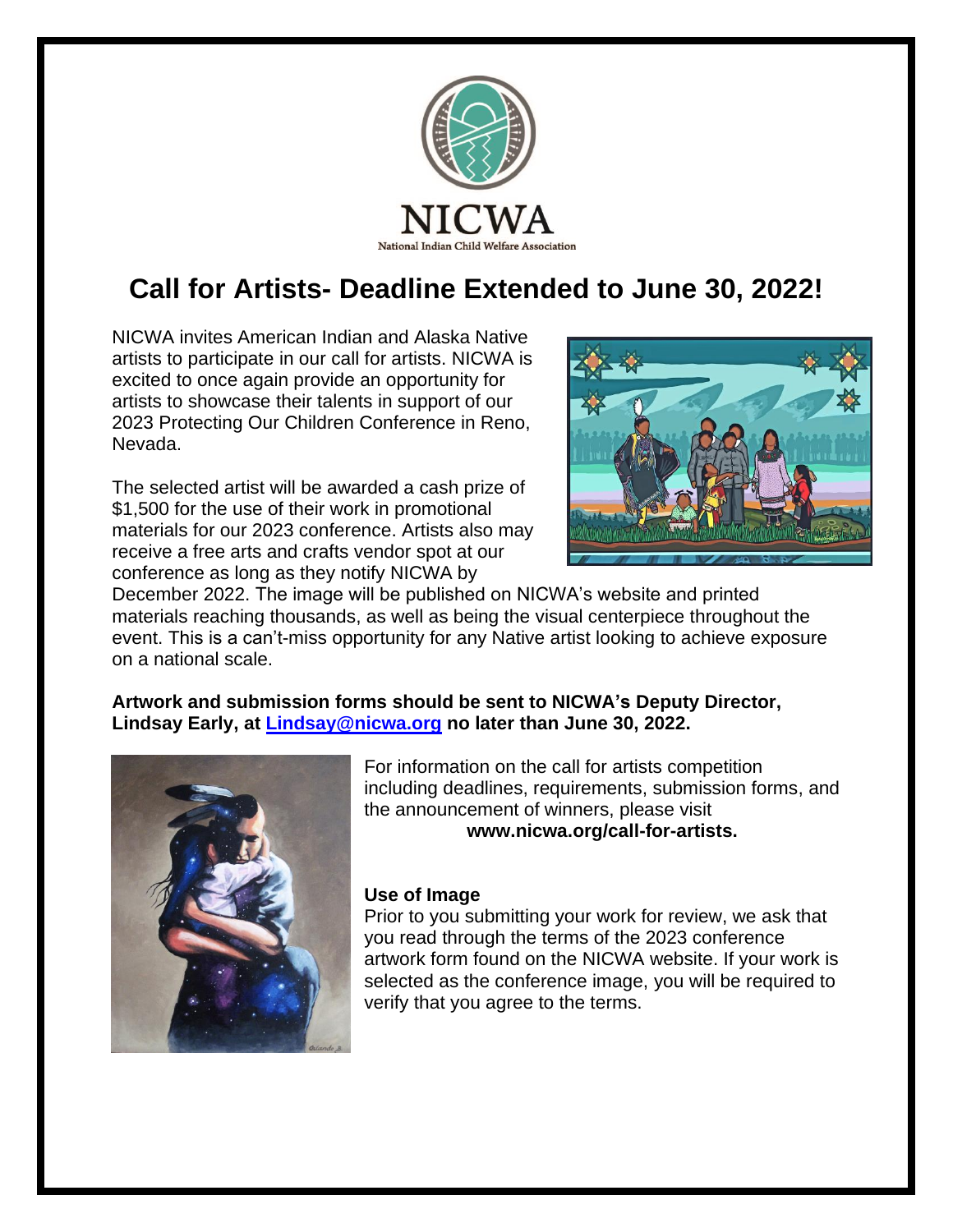

# **Call for Artists- Deadline Extended to June 30, 2022!**

NICWA invites American Indian and Alaska Native artists to participate in our call for artists. NICWA is excited to once again provide an opportunity for artists to showcase their talents in support of our 2023 Protecting Our Children Conference in Reno, Nevada.

The selected artist will be awarded a cash prize of \$1,500 for the use of their work in promotional materials for our 2023 conference. Artists also may receive a free arts and crafts vendor spot at our conference as long as they notify NICWA by



December 2022. The image will be published on NICWA's website and printed materials reaching thousands, as well as being the visual centerpiece throughout the event. This is a can't-miss opportunity for any Native artist looking to achieve exposure on a national scale.

## **Artwork and submission forms should be sent to NICWA's Deputy Director, Lindsay Early, at [Lindsay@nicwa.org](mailto:Lindsay@nicwa.org) no later than June 30, 2022.**



For information on the call for artists competition including deadlines, requirements, submission forms, and the announcement of winners, please visit **www.nicwa.org/call-for-artists.**

### **Use of Image**

Prior to you submitting your work for review, we ask that you read through the terms of the 2023 conference artwork form found on the NICWA website. If your work is selected as the conference image, you will be required to verify that you agree to the terms.